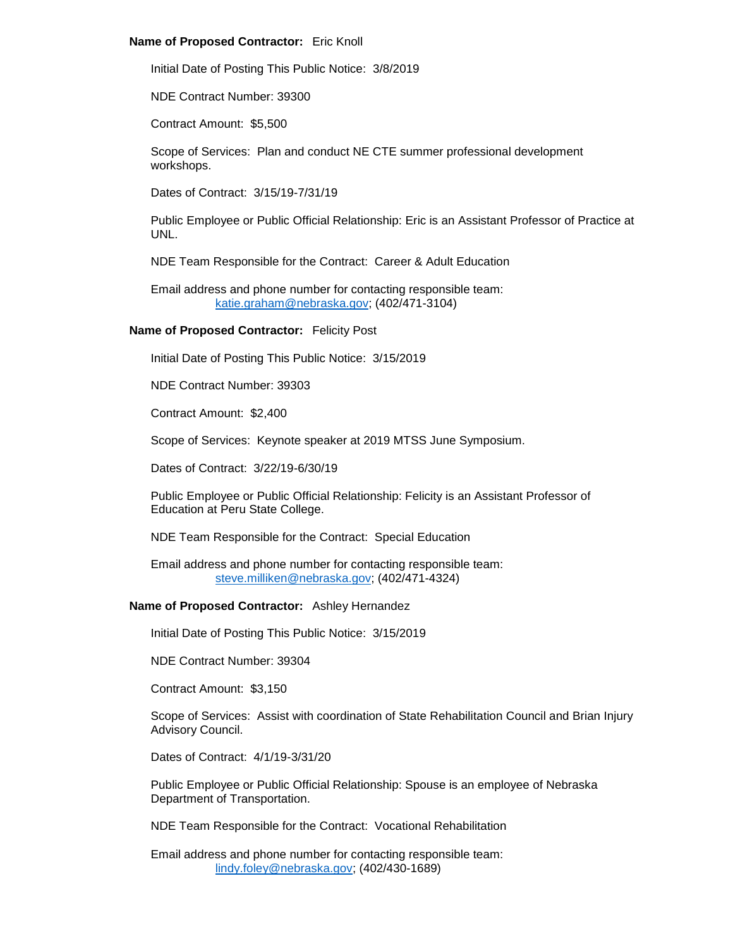#### **Name of Proposed Contractor:** Eric Knoll

Initial Date of Posting This Public Notice: 3/8/2019

NDE Contract Number: 39300

Contract Amount: \$5,500

Scope of Services: Plan and conduct NE CTE summer professional development workshops.

Dates of Contract: 3/15/19-7/31/19

Public Employee or Public Official Relationship: Eric is an Assistant Professor of Practice at UNL.

NDE Team Responsible for the Contract: Career & Adult Education

Email address and phone number for contacting responsible team: [katie.graham@nebraska.gov;](mailto:katie.graham@nebraska.gov) (402/471-3104)

## **Name of Proposed Contractor:** Felicity Post

Initial Date of Posting This Public Notice: 3/15/2019

NDE Contract Number: 39303

Contract Amount: \$2,400

Scope of Services: Keynote speaker at 2019 MTSS June Symposium.

Dates of Contract: 3/22/19-6/30/19

Public Employee or Public Official Relationship: Felicity is an Assistant Professor of Education at Peru State College.

NDE Team Responsible for the Contract: Special Education

Email address and phone number for contacting responsible team: [steve.milliken@nebraska.gov;](mailto:steve.milliken@nebraska.gov) (402/471-4324)

## **Name of Proposed Contractor:** Ashley Hernandez

Initial Date of Posting This Public Notice: 3/15/2019

NDE Contract Number: 39304

Contract Amount: \$3,150

Scope of Services: Assist with coordination of State Rehabilitation Council and Brian Injury Advisory Council.

Dates of Contract: 4/1/19-3/31/20

Public Employee or Public Official Relationship: Spouse is an employee of Nebraska Department of Transportation.

NDE Team Responsible for the Contract: Vocational Rehabilitation

Email address and phone number for contacting responsible team: [lindy.foley@nebraska.gov;](mailto:lindy.foley@nebraska.gov) (402/430-1689)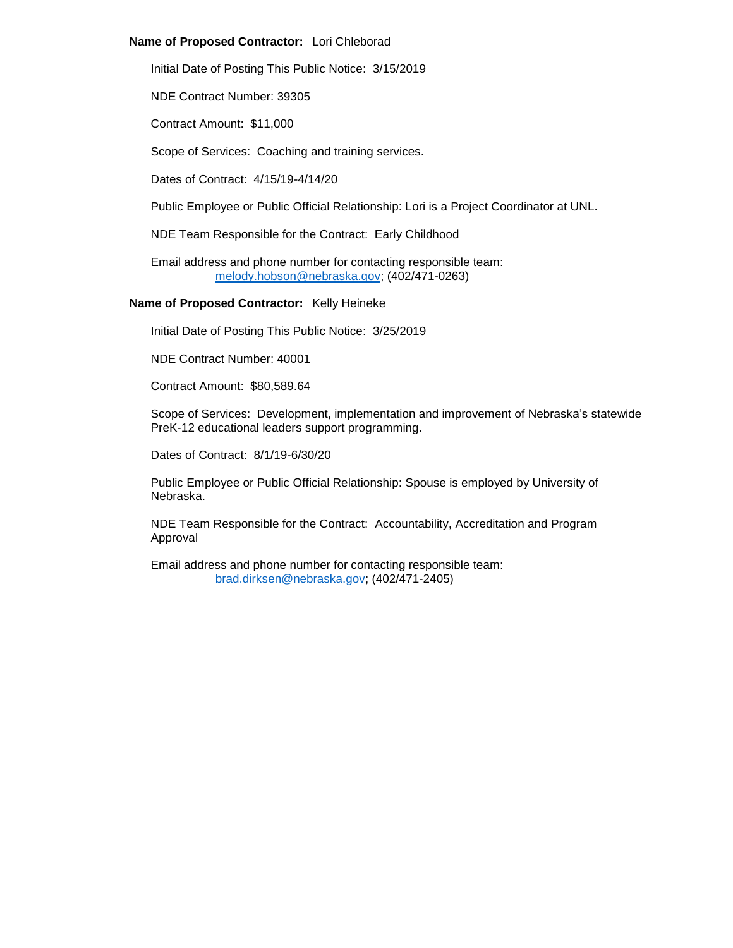## **Name of Proposed Contractor:** Lori Chleborad

Initial Date of Posting This Public Notice: 3/15/2019

NDE Contract Number: 39305

Contract Amount: \$11,000

Scope of Services: Coaching and training services.

Dates of Contract: 4/15/19-4/14/20

Public Employee or Public Official Relationship: Lori is a Project Coordinator at UNL.

NDE Team Responsible for the Contract: Early Childhood

Email address and phone number for contacting responsible team: [melody.hobson@nebraska.gov;](mailto:melody.hobson@nebraska.gov) (402/471-0263)

#### **Name of Proposed Contractor:** Kelly Heineke

Initial Date of Posting This Public Notice: 3/25/2019

NDE Contract Number: 40001

Contract Amount: \$80,589.64

Scope of Services: Development, implementation and improvement of Nebraska's statewide PreK-12 educational leaders support programming.

Dates of Contract: 8/1/19-6/30/20

Public Employee or Public Official Relationship: Spouse is employed by University of Nebraska.

NDE Team Responsible for the Contract: Accountability, Accreditation and Program Approval

Email address and phone number for contacting responsible team: [brad.dirksen@nebraska.gov;](mailto:brad.dirksen@nebraska.gov) (402/471-2405)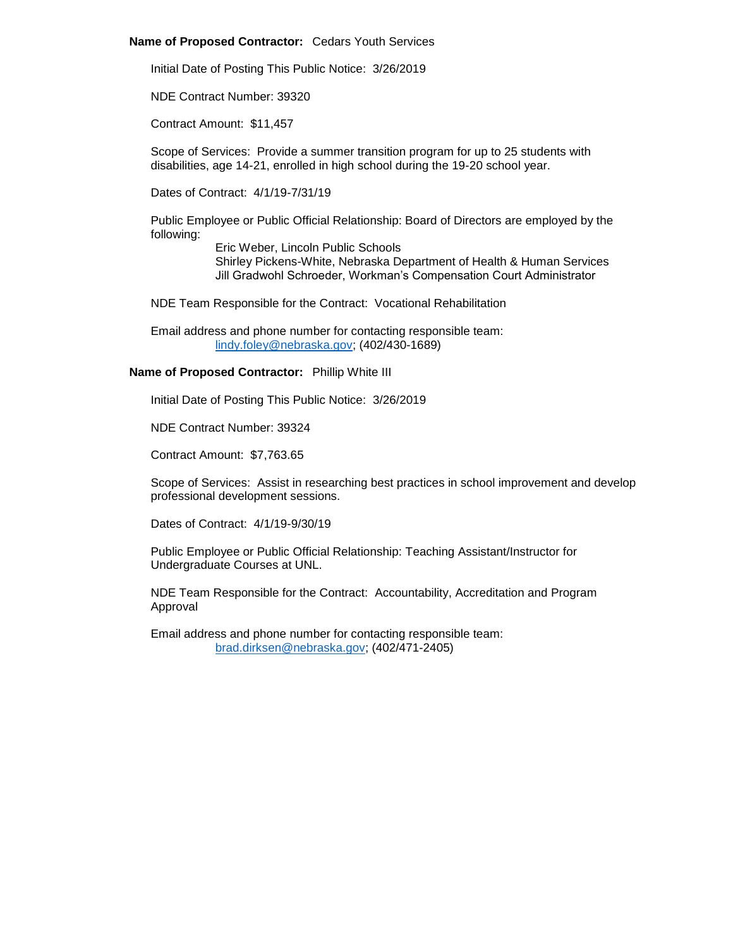#### **Name of Proposed Contractor:** Cedars Youth Services

Initial Date of Posting This Public Notice: 3/26/2019

NDE Contract Number: 39320

Contract Amount: \$11,457

Scope of Services: Provide a summer transition program for up to 25 students with disabilities, age 14-21, enrolled in high school during the 19-20 school year.

Dates of Contract: 4/1/19-7/31/19

Public Employee or Public Official Relationship: Board of Directors are employed by the following:

> Eric Weber, Lincoln Public Schools Shirley Pickens-White, Nebraska Department of Health & Human Services Jill Gradwohl Schroeder, Workman's Compensation Court Administrator

NDE Team Responsible for the Contract: Vocational Rehabilitation

Email address and phone number for contacting responsible team: [lindy.foley@nebraska.gov;](mailto:lindy.foley@nebraska.gov) (402/430-1689)

# **Name of Proposed Contractor:** Phillip White III

Initial Date of Posting This Public Notice: 3/26/2019

NDE Contract Number: 39324

Contract Amount: \$7,763.65

Scope of Services: Assist in researching best practices in school improvement and develop professional development sessions.

Dates of Contract: 4/1/19-9/30/19

Public Employee or Public Official Relationship: Teaching Assistant/Instructor for Undergraduate Courses at UNL.

NDE Team Responsible for the Contract: Accountability, Accreditation and Program Approval

Email address and phone number for contacting responsible team: [brad.dirksen@nebraska.gov;](mailto:brad.dirksen@nebraska.gov) (402/471-2405)